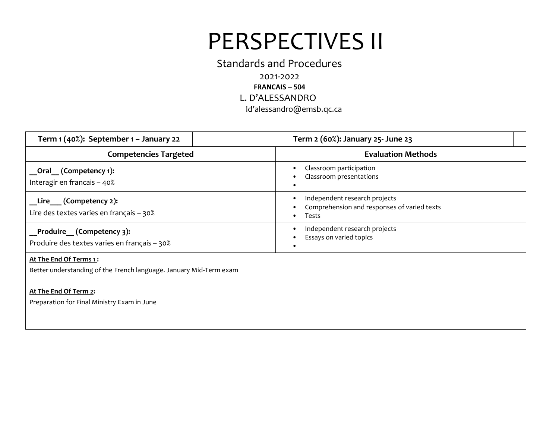### Standards and Procedures

2021-2022 **FRANCAIS – 504**

L. D'ALESSANDRO

ld'alessandro@emsb.qc.ca

| Term $1(40%)$ : September $1 -$ January 22                                                   | Term 2 (60%): January 25- June 23                                                     |  |
|----------------------------------------------------------------------------------------------|---------------------------------------------------------------------------------------|--|
| <b>Competencies Targeted</b>                                                                 | <b>Evaluation Methods</b>                                                             |  |
| __Oral__ (Competency 1):<br>Interagir en francais - 40%                                      | Classroom participation<br>Classroom presentations                                    |  |
| Lire $($ Competency 2):<br>Lire des textes varies en français - 30%                          | Independent research projects<br>Comprehension and responses of varied texts<br>Tests |  |
| Produire (Competency 3):<br>Produire des textes varies en français - 30%                     | Independent research projects<br>Essays on varied topics                              |  |
| At The End Of Terms 1:<br>Better understanding of the French language. January Mid-Term exam |                                                                                       |  |
| At The End Of Term 2:                                                                        |                                                                                       |  |

Preparation for Final Ministry Exam in June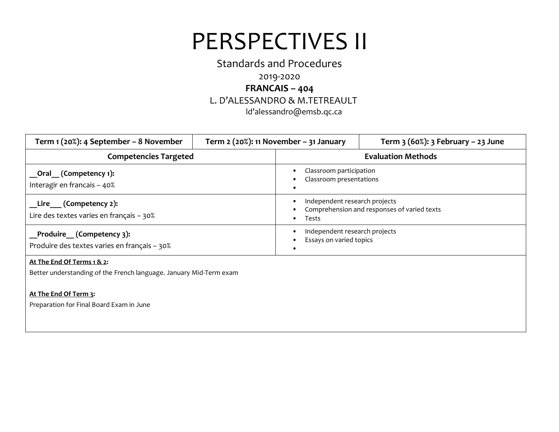### Standards and Procedures

### 2019-2020

### **FRANCAIS – 404**

### L. D'ALESSANDRO & M.TETREAULT

ld'alessandro@emsb.qc.ca

| Term 1 (20%): 4 September – 8 November                                      | Term $2$ (20%): 11 November – 31 January |                                                          | Term $3(60%)$ : $3$ February – 23 June      |
|-----------------------------------------------------------------------------|------------------------------------------|----------------------------------------------------------|---------------------------------------------|
| <b>Competencies Targeted</b>                                                |                                          | <b>Evaluation Methods</b>                                |                                             |
| __Oral__ (Competency 1):<br>Interagir en francais - 40%                     |                                          | Classroom participation<br>Classroom presentations       |                                             |
| Lire (Competency 2):<br>Lire des textes varies en français - 30%            |                                          | Independent research projects<br>Tests                   | Comprehension and responses of varied texts |
| _Produire__ (Competency 3):<br>Produire des textes varies en français - 30% |                                          | Independent research projects<br>Essays on varied topics |                                             |

### **At The End Of Terms 1 & 2:**

Better understanding of the French language. January Mid-Term exam

### **At The End Of Term 3:**

Preparation for Final Board Exam in June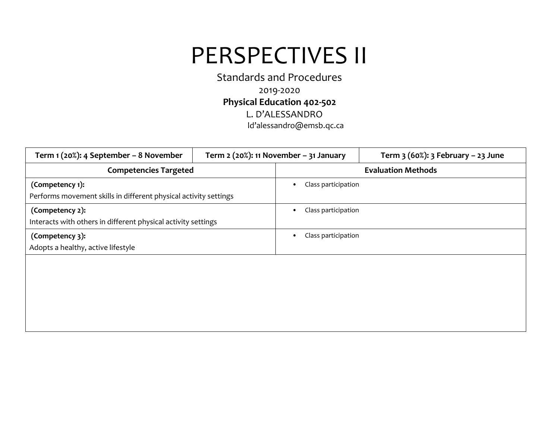Standards and Procedures 2019-2020 **Physical Education 402-502** L. D'ALESSANDRO ld'alessandro@emsb.qc.ca

| Term 1 (20%): 4 September - 8 November                           | Term $2$ (20%): 11 November - 31 January |                           | Term $3(60\%)$ : 3 February – 23 June |  |
|------------------------------------------------------------------|------------------------------------------|---------------------------|---------------------------------------|--|
| <b>Competencies Targeted</b>                                     |                                          | <b>Evaluation Methods</b> |                                       |  |
| (Competency 1):                                                  |                                          | Class participation       |                                       |  |
| Performs movement skills in different physical activity settings |                                          |                           |                                       |  |
| (Competency 2):                                                  |                                          | Class participation<br>٠  |                                       |  |
| Interacts with others in different physical activity settings    |                                          |                           |                                       |  |
| (Competency 3):                                                  |                                          | Class participation       |                                       |  |
| Adopts a healthy, active lifestyle                               |                                          |                           |                                       |  |
|                                                                  |                                          |                           |                                       |  |
|                                                                  |                                          |                           |                                       |  |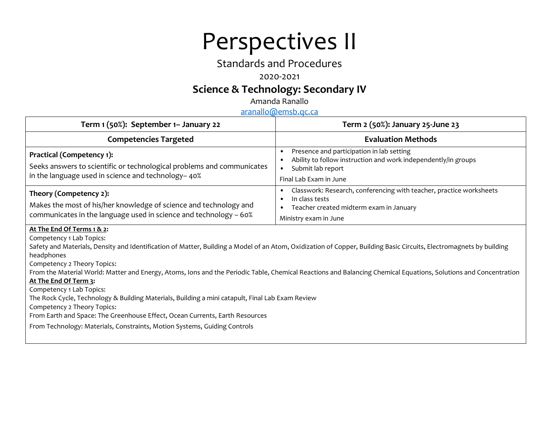# Perspectives II

## Standards and Procedures

### 2020-2021

## **Science & Technology: Secondary IV**

Amanda Ranallo

[aranallo@emsb.qc.ca](mailto:aranallo@emsb.qc.ca)

| Term 1 (50%): September 1– January 22                                                                                                                                                                                                                                                                                                                                                                                                                                                                                                                                                                                                                                                                                                                                                               | Term 2 (50%): January 25-June 23                                                                                                                                                          |
|-----------------------------------------------------------------------------------------------------------------------------------------------------------------------------------------------------------------------------------------------------------------------------------------------------------------------------------------------------------------------------------------------------------------------------------------------------------------------------------------------------------------------------------------------------------------------------------------------------------------------------------------------------------------------------------------------------------------------------------------------------------------------------------------------------|-------------------------------------------------------------------------------------------------------------------------------------------------------------------------------------------|
| <b>Competencies Targeted</b>                                                                                                                                                                                                                                                                                                                                                                                                                                                                                                                                                                                                                                                                                                                                                                        | <b>Evaluation Methods</b>                                                                                                                                                                 |
| Practical (Competency 1):<br>Seeks answers to scientific or technological problems and communicates<br>in the language used in science and technology-40%                                                                                                                                                                                                                                                                                                                                                                                                                                                                                                                                                                                                                                           | Presence and participation in lab setting<br>$\bullet$<br>Ability to follow instruction and work independently/in groups<br>٠<br>Submit lab report<br>$\bullet$<br>Final Lab Exam in June |
| Theory (Competency 2):<br>Makes the most of his/her knowledge of science and technology and<br>communicates in the language used in science and technology - 60%                                                                                                                                                                                                                                                                                                                                                                                                                                                                                                                                                                                                                                    | Classwork: Research, conferencing with teacher, practice worksheets<br>٠<br>In class tests<br>٠<br>Teacher created midterm exam in January<br>Ministry exam in June                       |
| At The End Of Terms 1 & 2:<br>Competency 1 Lab Topics:<br>Safety and Materials, Density and Identification of Matter, Building a Model of an Atom, Oxidization of Copper, Building Basic Circuits, Electromagnets by building<br>headphones<br>Competency 2 Theory Topics:<br>From the Material World: Matter and Energy, Atoms, Ions and the Periodic Table, Chemical Reactions and Balancing Chemical Equations, Solutions and Concentration<br>At The End Of Term 3:<br>Competency 1 Lab Topics:<br>The Rock Cycle, Technology & Building Materials, Building a mini catapult, Final Lab Exam Review<br>Competency 2 Theory Topics:<br>From Earth and Space: The Greenhouse Effect, Ocean Currents, Earth Resources<br>From Technology: Materials, Constraints, Motion Systems, Guiding Controls |                                                                                                                                                                                           |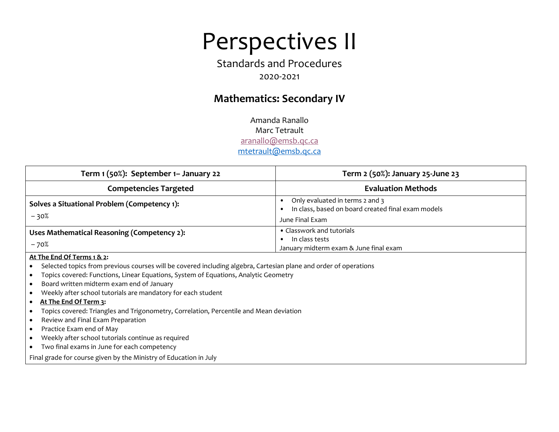# Perspectives II

## Standards and Procedures 2020-2021

## **Mathematics: Secondary IV**

Amanda Ranallo Marc Tetrault [aranallo@emsb.qc.ca](mailto:aranallo@emsb.qc.ca) [mtetrault@emsb.qc.ca](mailto:mtetrault@emsb.qc.ca)

| Term 1 (50%): September 1– January 22                  | Term 2 (50%): January 25-June 23                                                                         |
|--------------------------------------------------------|----------------------------------------------------------------------------------------------------------|
| <b>Competencies Targeted</b>                           | <b>Evaluation Methods</b>                                                                                |
| Solves a Situational Problem (Competency 1):<br>$-30%$ | Only evaluated in terms 2 and 3<br>In class, based on board created final exam models<br>June Final Exam |
| Uses Mathematical Reasoning (Competency 2):<br>$-70%$  | • Classwork and tutorials<br>In class tests<br>January midterm exam & June final exam                    |
| At The End Of Terms 1 & 2:                             |                                                                                                          |

Selected topics from previous courses will be covered including algebra, Cartesian plane and order of operations

- Topics covered: Functions, Linear Equations, System of Equations, Analytic Geometry
- Board written midterm exam end of January
- Weekly after school tutorials are mandatory for each student
- **At The End Of Term 3:**
- Topics covered: Triangles and Trigonometry, Correlation, Percentile and Mean deviation
- Review and Final Exam Preparation
- Practice Exam end of May
- Weekly after school tutorials continue as required
- Two final exams in June for each competency

Final grade for course given by the Ministry of Education in July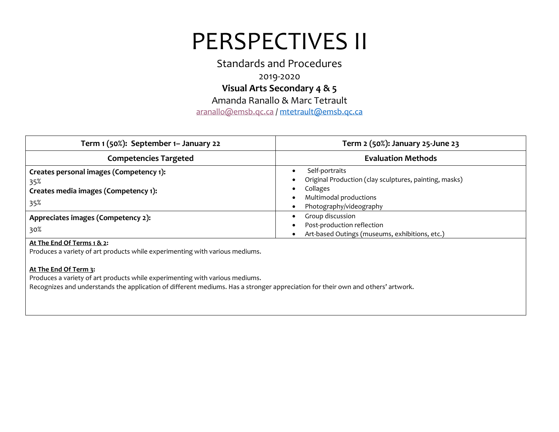Standards and Procedures

2019-2020

**Visual Arts Secondary 4 & 5**

Amanda Ranallo & Marc Tetrault

[aranallo@emsb.qc.ca](mailto:aranallo@emsb.qc.ca) / [mtetrault@emsb.qc.ca](mailto:mtetrault@emsb.qc.ca)

| Term 1 (50%): September 1– January 22                                                         | Term 2 (50%): January 25-June 23                                                                                                          |
|-----------------------------------------------------------------------------------------------|-------------------------------------------------------------------------------------------------------------------------------------------|
| <b>Competencies Targeted</b>                                                                  | <b>Evaluation Methods</b>                                                                                                                 |
| Creates personal images (Competency 1):<br>35%<br>Creates media images (Competency 1):<br>35% | Self-portraits<br>Original Production (clay sculptures, painting, masks)<br>Collages<br>Multimodal productions<br>Photography/videography |
| Appreciates images (Competency 2):<br>30%<br>At The End Of Terms 1 & 2:                       | Group discussion<br>Post-production reflection<br>Art-based Outings (museums, exhibitions, etc.)                                          |

Produces a variety of art products while experimenting with various mediums.

#### **At The End Of Term 3:**

Produces a variety of art products while experimenting with various mediums.

Recognizes and understands the application of different mediums. Has a stronger appreciation for their own and others' artwork.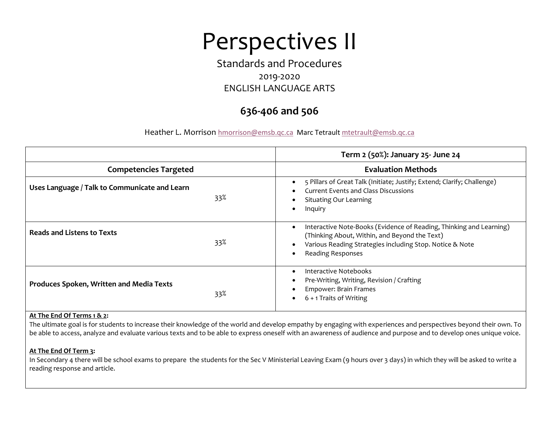# Perspectives II

## Standards and Procedures 2019-2020 ENGLISH LANGUAGE ARTS

## **636-406 and 506**

Heather L. Morrison [hmorrison@emsb.qc.ca](mailto:hmorrison@emsb.qc.ca) Marc Tetrault mtetraul[t@emsb.qc.ca](mailto:arannallo@emsb.qc.ca)

|                                               |     | Term 2 (50%): January 25- June 24                                                                                                                                                                            |  |
|-----------------------------------------------|-----|--------------------------------------------------------------------------------------------------------------------------------------------------------------------------------------------------------------|--|
| <b>Competencies Targeted</b>                  |     | <b>Evaluation Methods</b>                                                                                                                                                                                    |  |
| Uses Language / Talk to Communicate and Learn | 33% | 5 Pillars of Great Talk (Initiate; Justify; Extend; Clarify; Challenge)<br>Current Events and Class Discussions<br><b>Situating Our Learning</b><br>Inquiry                                                  |  |
| <b>Reads and Listens to Texts</b>             | 33% | Interactive Note-Books (Evidence of Reading, Thinking and Learning)<br>(Thinking About, Within, and Beyond the Text)<br>Various Reading Strategies including Stop. Notice & Note<br><b>Reading Responses</b> |  |
| Produces Spoken, Written and Media Texts      | 33% | Interactive Notebooks<br>Pre-Writing, Writing, Revision / Crafting<br>Empower: Brain Frames<br>6 + 1 Traits of Writing                                                                                       |  |

#### **At The End Of Terms 1 & 2:**

The ultimate goal is for students to increase their knowledge of the world and develop empathy by engaging with experiences and perspectives beyond their own. To be able to access, analyze and evaluate various texts and to be able to express oneself with an awareness of audience and purpose and to develop ones unique voice.

#### **At The End Of Term 3:**

In Secondary 4 there will be school exams to prepare the students for the Sec V Ministerial Leaving Exam (9 hours over 3 days) in which they will be asked to write a reading response and article.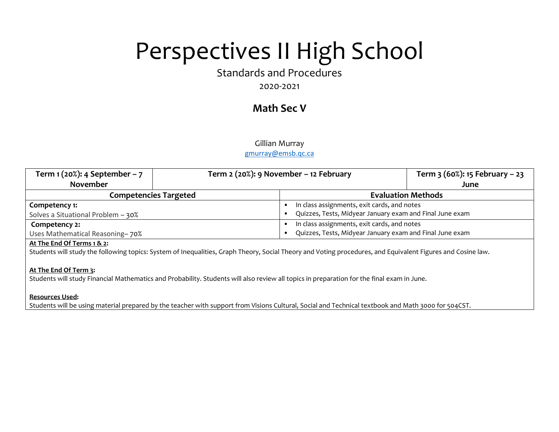# Perspectives II High School

Standards and Procedures

2020-2021

## **Math Sec V**

### Gillian Murray

### [gmurray@emsb.qc.ca](mailto:gmurray@emsb.qc.ca)

| Term $1(20%): 4 September - 7$         | Term 2 (20%): 9 November – 12 February |                                                          | Term $3(60\%)$ : 15 February – 23 |
|----------------------------------------|----------------------------------------|----------------------------------------------------------|-----------------------------------|
| <b>November</b>                        |                                        |                                                          | June                              |
| <b>Competencies Targeted</b>           |                                        | <b>Evaluation Methods</b>                                |                                   |
| Competency 1:                          |                                        | In class assignments, exit cards, and notes              |                                   |
| Solves a Situational Problem - 30%     |                                        | Quizzes, Tests, Midyear January exam and Final June exam |                                   |
| Competency 2:                          |                                        | In class assignments, exit cards, and notes              |                                   |
| Uses Mathematical Reasoning-70%        |                                        | Quizzes, Tests, Midyear January exam and Final June exam |                                   |
| ---- - - - - -<br>$\sim$ $\sim$ $\sim$ |                                        |                                                          |                                   |

#### **At The End Of Terms 1 & 2:**

Students will study the following topics: System of Inequalities, Graph Theory, Social Theory and Voting procedures, and Equivalent Figures and Cosine law.

#### **At The End Of Term 3:**

Students will study Financial Mathematics and Probability. Students will also review all topics in preparation for the final exam in June.

#### **Resources Used:**

Students will be using material prepared by the teacher with support from Visions Cultural, Social and Technical textbook and Math 3000 for 504CST.